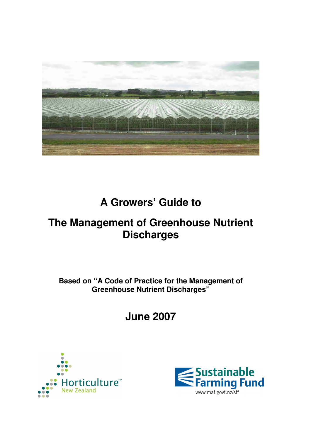

# **A Growers' Guide to**

# **The Management of Greenhouse Nutrient Discharges**

**Based on "A Code of Practice for the Management of Greenhouse Nutrient Discharges"** 

**June 2007** 



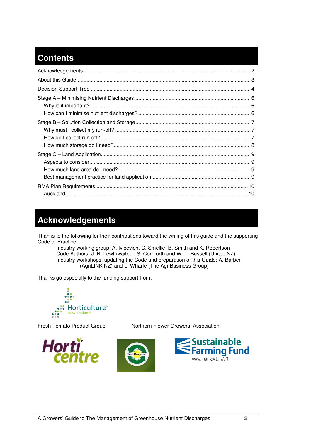### **Contents**

## **Acknowledgements**

Thanks to the following for their contributions toward the writing of this guide and the supporting Code of Practice:

Industry working group: A. Ivicevich, C. Smellie, B. Smith and K. Robertson Code Authors: J. R. Lewthwaite, I. S. Cornforth and W. T. Bussell (Unitec NZ) Industry workshops, updating the Code and preparation of this Guide: A. Barber (AgriLINK NZ) and L. Wharfe (The AgriBusiness Group)

Thanks go especially to the funding support from:





Fresh Tomato Product Group Northern Flower Growers' Association



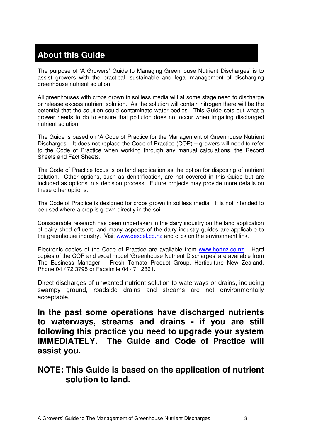# **About this Guide**

The purpose of 'A Growers' Guide to Managing Greenhouse Nutrient Discharges' is to assist growers with the practical, sustainable and legal management of discharging greenhouse nutrient solution.

All greenhouses with crops grown in soilless media will at some stage need to discharge or release excess nutrient solution. As the solution will contain nitrogen there will be the potential that the solution could contaminate water bodies. This Guide sets out what a grower needs to do to ensure that pollution does not occur when irrigating discharged nutrient solution.

The Guide is based on 'A Code of Practice for the Management of Greenhouse Nutrient Discharges' It does not replace the Code of Practice (COP) – growers will need to refer to the Code of Practice when working through any manual calculations, the Record Sheets and Fact Sheets.

The Code of Practice focus is on land application as the option for disposing of nutrient solution. Other options, such as denitrification, are not covered in this Guide but are included as options in a decision process. Future projects may provide more details on these other options.

The Code of Practice is designed for crops grown in soilless media. It is not intended to be used where a crop is grown directly in the soil.

Considerable research has been undertaken in the dairy industry on the land application of dairy shed effluent, and many aspects of the dairy industry guides are applicable to the greenhouse industry. Visit www.dexcel.co.nz and click on the environment link.

Electronic copies of the Code of Practice are available from www.hortnz.co.nz Hard copies of the COP and excel model 'Greenhouse Nutrient Discharges' are available from The Business Manager – Fresh Tomato Product Group, Horticulture New Zealand. Phone 04 472 3795 or Facsimile 04 471 2861.

Direct discharges of unwanted nutrient solution to waterways or drains, including swampy ground, roadside drains and streams are not environmentally acceptable.

**In the past some operations have discharged nutrients to waterways, streams and drains - if you are still following this practice you need to upgrade your system IMMEDIATELY. The Guide and Code of Practice will assist you.** 

**NOTE: This Guide is based on the application of nutrient solution to land.**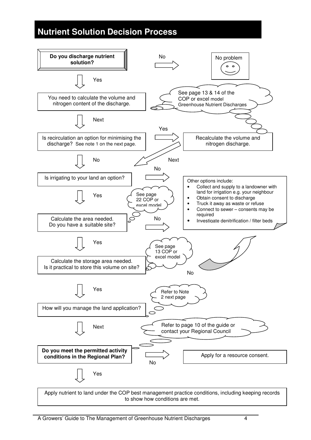### **Nutrient Solution Decision Process**

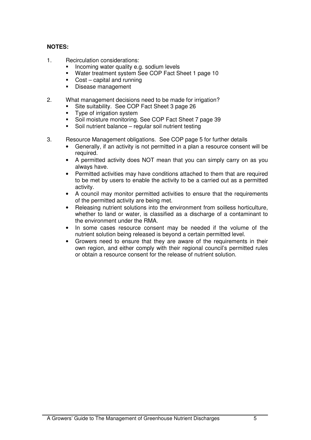#### **NOTES:**

- 1. Recirculation considerations:
	- Incoming water quality e.g. sodium levels
	- Water treatment system See COP Fact Sheet 1 page 10
	- Cost capital and running
	- **Disease management**
- 2. What management decisions need to be made for irrigation?
	- Site suitability. See COP Fact Sheet 3 page 26
	- Type of irrigation system
	- Soil moisture monitoring. See COP Fact Sheet 7 page 39
	- Soil nutrient balance regular soil nutrient testing
- 3. Resource Management obligations. See COP page 5 for further details
	- Generally, if an activity is not permitted in a plan a resource consent will be required.
	- A permitted activity does NOT mean that you can simply carry on as you always have.
	- Permitted activities may have conditions attached to them that are required to be met by users to enable the activity to be a carried out as a permitted activity.
	- A council may monitor permitted activities to ensure that the requirements of the permitted activity are being met.
	- Releasing nutrient solutions into the environment from soilless horticulture, whether to land or water, is classified as a discharge of a contaminant to the environment under the RMA.
	- In some cases resource consent may be needed if the volume of the nutrient solution being released is beyond a certain permitted level.
	- Growers need to ensure that they are aware of the requirements in their own region, and either comply with their regional council's permitted rules or obtain a resource consent for the release of nutrient solution.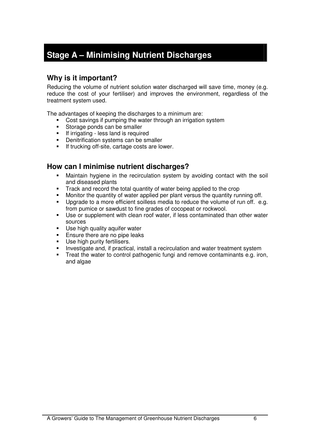# **Stage A – Minimising Nutrient Discharges**

#### **Why is it important?**

Reducing the volume of nutrient solution water discharged will save time, money (e.g. reduce the cost of your fertiliser) and improves the environment, regardless of the treatment system used.

The advantages of keeping the discharges to a minimum are:

- Cost savings if pumping the water through an irrigation system
- Storage ponds can be smaller
- **If irrigating less land is required**
- **•** Denitrification systems can be smaller
- **If trucking off-site, cartage costs are lower.**

#### **How can I minimise nutrient discharges?**

- Maintain hygiene in the recirculation system by avoiding contact with the soil and diseased plants
- Track and record the total quantity of water being applied to the crop
- Monitor the quantity of water applied per plant versus the quantity running off.
- **Upgrade to a more efficient soilless media to reduce the volume of run off.** e.g. from pumice or sawdust to fine grades of cocopeat or rockwool.
- Use or supplement with clean roof water, if less contaminated than other water sources
- **Use high quality aquifer water**
- Ensure there are no pipe leaks
- **Use high purity fertilisers.**
- Investigate and, if practical, install a recirculation and water treatment system
- Treat the water to control pathogenic fungi and remove contaminants e.g. iron, and algae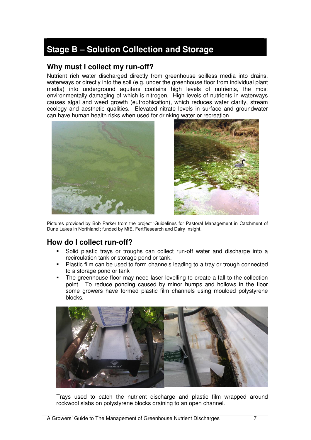### **Stage B – Solution Collection and Storage**

#### **Why must I collect my run-off?**

Nutrient rich water discharged directly from greenhouse soilless media into drains, waterways or directly into the soil (e.g. under the greenhouse floor from individual plant media) into underground aquifers contains high levels of nutrients, the most environmentally damaging of which is nitrogen. High levels of nutrients in waterways causes algal and weed growth (eutrophication), which reduces water clarity, stream ecology and aesthetic qualities. Elevated nitrate levels in surface and groundwater can have human health risks when used for drinking water or recreation.





Pictures provided by Bob Parker from the project 'Guidelines for Pastoral Management in Catchment of Dune Lakes in Northland'; funded by MfE, FertResearch and Dairy Insight.

#### **How do I collect run-off?**

- Solid plastic trays or troughs can collect run-off water and discharge into a recirculation tank or storage pond or tank.
- Plastic film can be used to form channels leading to a tray or trough connected to a storage pond or tank
- The greenhouse floor may need laser levelling to create a fall to the collection point. To reduce ponding caused by minor humps and hollows in the floor some growers have formed plastic film channels using moulded polystyrene blocks.



Trays used to catch the nutrient discharge and plastic film wrapped around rockwool slabs on polystyrene blocks draining to an open channel.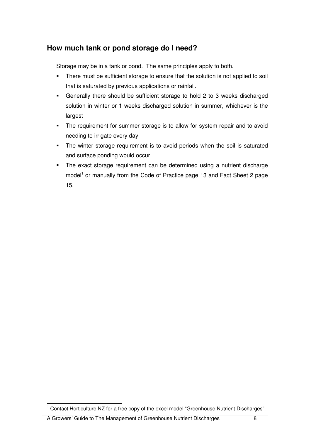### **How much tank or pond storage do I need?**

Storage may be in a tank or pond. The same principles apply to both.

- There must be sufficient storage to ensure that the solution is not applied to soil that is saturated by previous applications or rainfall.
- Generally there should be sufficient storage to hold 2 to 3 weeks discharged solution in winter or 1 weeks discharged solution in summer, whichever is the largest
- The requirement for summer storage is to allow for system repair and to avoid needing to irrigate every day
- The winter storage requirement is to avoid periods when the soil is saturated and surface ponding would occur
- The exact storage requirement can be determined using a nutrient discharge model<sup>1</sup> or manually from the Code of Practice page 13 and Fact Sheet 2 page 15.

 1 Contact Horticulture NZ for a free copy of the excel model "Greenhouse Nutrient Discharges".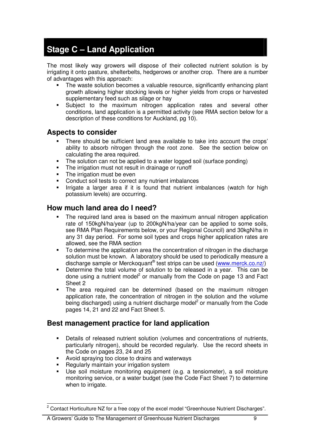### **Stage C – Land Application**

The most likely way growers will dispose of their collected nutrient solution is by irrigating it onto pasture, shelterbelts, hedgerows or another crop. There are a number of advantages with this approach:

- The waste solution becomes a valuable resource, significantly enhancing plant growth allowing higher stocking levels or higher yields from crops or harvested supplementary feed such as silage or hay
- Subject to the maximum nitrogen application rates and several other conditions, land application is a permitted activity (see RMA section below for a description of these conditions for Auckland, pg 10).

#### **Aspects to consider**

- There should be sufficient land area available to take into account the crops' ability to absorb nitrogen through the root zone. See the section below on calculating the area required.
- The solution can not be applied to a water logged soil (surface ponding)
- The irrigation must not result in drainage or runoff<br>The irrigation must be even
- The irrigation must be even
- Conduct soil tests to correct any nutrient imbalances
- Irrigate a larger area if it is found that nutrient imbalances (watch for high potassium levels) are occurring.

#### **How much land area do I need?**

- The required land area is based on the maximum annual nitrogen application rate of 150kgN/ha/year (up to 200kgN/ha/year can be applied to some soils, see RMA Plan Requirements below, or your Regional Council) and 30kgN/ha in any 31 day period. For some soil types and crops higher application rates are allowed, see the RMA section
- To determine the application area the concentration of nitrogen in the discharge solution must be known. A laboratory should be used to periodically measure a discharge sample or Merckoquant® test strips can be used (www.merck.co.nz/)
- Determine the total volume of solution to be released in a year. This can be done using a nutrient model<sup>2</sup> or manually from the Code on page 13 and Fact Sheet 2
- The area required can be determined (based on the maximum nitrogen application rate, the concentration of nitrogen in the solution and the volume being discharged) using a nutrient discharge model<sup>2</sup> or manually from the Code pages 14, 21 and 22 and Fact Sheet 5.

#### **Best management practice for land application**

- Details of released nutrient solution (volumes and concentrations of nutrients, particularly nitrogen), should be recorded regularly. Use the record sheets in the Code on pages 23, 24 and 25
- Avoid spraying too close to drains and waterways
- Regularly maintain your irrigation system
- Use soil moisture monitoring equipment (e.g. a tensiometer), a soil moisture monitoring service, or a water budget (see the Code Fact Sheet 7) to determine when to irrigate.

A Growers' Guide to The Management of Greenhouse Nutrient Discharges 9

**EXECTS**<br><sup>2</sup> Contact Horticulture NZ for a free copy of the excel model "Greenhouse Nutrient Discharges".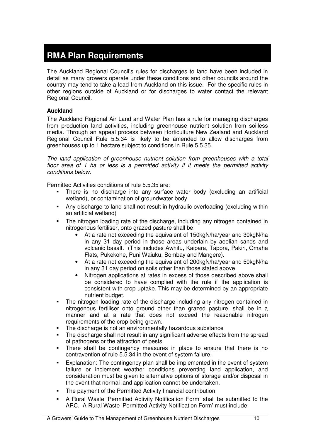### **RMA Plan Requirements**

The Auckland Regional Council's rules for discharges to land have been included in detail as many growers operate under these conditions and other councils around the country may tend to take a lead from Auckland on this issue. For the specific rules in other regions outside of Auckland or for discharges to water contact the relevant Regional Council.

#### **Auckland**

The Auckland Regional Air Land and Water Plan has a rule for managing discharges from production land activities, including greenhouse nutrient solution from soilless media. Through an appeal process between Horticulture New Zealand and Auckland Regional Council Rule 5.5.34 is likely to be amended to allow discharges from greenhouses up to 1 hectare subject to conditions in Rule 5.5.35.

The land application of greenhouse nutrient solution from greenhouses with a total floor area of 1 ha or less is a permitted activity if it meets the permitted activity conditions below.

Permitted Activities conditions of rule 5.5.35 are:

- There is no discharge into any surface water body (excluding an artificial wetland), or contamination of groundwater body
- Any discharge to land shall not result in hydraulic overloading (excluding within an artificial wetland)
- The nitrogen loading rate of the discharge, including any nitrogen contained in nitrogenous fertiliser, onto grazed pasture shall be:
	- At a rate not exceeding the equivalent of 150kgN/ha/year and 30kgN/ha in any 31 day period in those areas underlain by aeolian sands and volcanic basalt. (This includes Awhitu, Kaipara, Tapora, Pakiri, Omaha Flats, Pukekohe, Puni Waiuku, Bombay and Mangere).
	- At a rate not exceeding the equivalent of 200kgN/ha/year and 50kgN/ha in any 31 day period on soils other than those stated above
	- Nitrogen applications at rates in excess of those described above shall be considered to have complied with the rule if the application is consistent with crop uptake. This may be determined by an appropriate nutrient budget.
- The nitrogen loading rate of the discharge including any nitrogen contained in nitrogenous fertiliser onto ground other than grazed pasture, shall be in a manner and at a rate that does not exceed the reasonable nitrogen requirements of the crop being grown.
- The discharge is not an environmentally hazardous substance
- The discharge shall not result in any significant adverse effects from the spread of pathogens or the attraction of pests.
- There shall be contingency measures in place to ensure that there is no contravention of rule 5.5.34 in the event of system failure.
- Explanation: The contingency plan shall be implemented in the event of system failure or inclement weather conditions preventing land application, and consideration must be given to alternative options of storage and/or disposal in the event that normal land application cannot be undertaken.
- The payment of the Permitted Activity financial contribution
- A Rural Waste 'Permitted Activity Notification Form' shall be submitted to the ARC. A Rural Waste 'Permitted Activity Notification Form' must include: